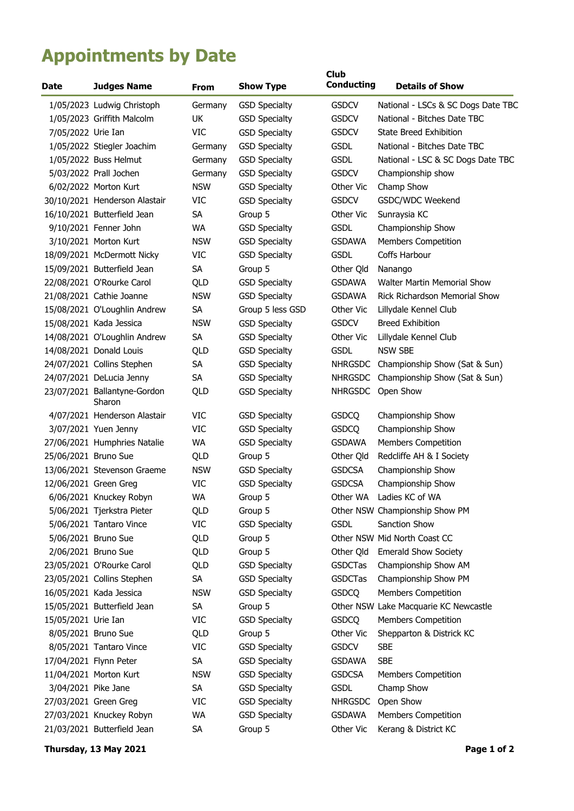## **Appointments by Date**

| <b>Date</b>           | <b>Judges Name</b>                     | <b>From</b> | <b>Show Type</b>     | <b>Club</b><br><b>Conducting</b> | <b>Details of Show</b>                |
|-----------------------|----------------------------------------|-------------|----------------------|----------------------------------|---------------------------------------|
|                       | 1/05/2023 Ludwig Christoph             | Germany     | <b>GSD Specialty</b> | <b>GSDCV</b>                     | National - LSCs & SC Dogs Date TBC    |
|                       | 1/05/2023 Griffith Malcolm             | UK          | <b>GSD Specialty</b> | <b>GSDCV</b>                     | National - Bitches Date TBC           |
| 7/05/2022 Urie Ian    |                                        | VIC         | <b>GSD Specialty</b> | <b>GSDCV</b>                     | <b>State Breed Exhibition</b>         |
|                       | 1/05/2022 Stiegler Joachim             | Germany     | <b>GSD Specialty</b> | <b>GSDL</b>                      | National - Bitches Date TBC           |
|                       | 1/05/2022 Buss Helmut                  | Germany     | <b>GSD Specialty</b> | <b>GSDL</b>                      | National - LSC & SC Dogs Date TBC     |
|                       | 5/03/2022 Prall Jochen                 | Germany     | <b>GSD Specialty</b> | <b>GSDCV</b>                     | Championship show                     |
|                       | 6/02/2022 Morton Kurt                  | <b>NSW</b>  | <b>GSD Specialty</b> | Other Vic                        | Champ Show                            |
|                       | 30/10/2021 Henderson Alastair          | VIC         | <b>GSD Specialty</b> | <b>GSDCV</b>                     | GSDC/WDC Weekend                      |
|                       | 16/10/2021 Butterfield Jean            | <b>SA</b>   | Group 5              | Other Vic                        | Sunraysia KC                          |
|                       | 9/10/2021 Fenner John                  | WA          | <b>GSD Specialty</b> | <b>GSDL</b>                      | Championship Show                     |
|                       | 3/10/2021 Morton Kurt                  | <b>NSW</b>  | <b>GSD Specialty</b> | <b>GSDAWA</b>                    | <b>Members Competition</b>            |
|                       | 18/09/2021 McDermott Nicky             | VIC         | <b>GSD Specialty</b> | <b>GSDL</b>                      | Coffs Harbour                         |
|                       | 15/09/2021 Butterfield Jean            | SA          | Group 5              | Other Qld                        | Nanango                               |
|                       | 22/08/2021 O'Rourke Carol              | QLD         | <b>GSD Specialty</b> | <b>GSDAWA</b>                    | <b>Walter Martin Memorial Show</b>    |
|                       | 21/08/2021 Cathie Joanne               | <b>NSW</b>  | <b>GSD Specialty</b> | <b>GSDAWA</b>                    | <b>Rick Richardson Memorial Show</b>  |
|                       | 15/08/2021 O'Loughlin Andrew           | SA          | Group 5 less GSD     | Other Vic                        | Lillydale Kennel Club                 |
|                       | 15/08/2021 Kada Jessica                | <b>NSW</b>  | <b>GSD Specialty</b> | <b>GSDCV</b>                     | <b>Breed Exhibition</b>               |
|                       | 14/08/2021 O'Loughlin Andrew           | <b>SA</b>   | <b>GSD Specialty</b> | Other Vic                        | Lillydale Kennel Club                 |
|                       | 14/08/2021 Donald Louis                | QLD         | <b>GSD Specialty</b> | <b>GSDL</b>                      | <b>NSW SBE</b>                        |
|                       | 24/07/2021 Collins Stephen             | SA          | <b>GSD Specialty</b> | <b>NHRGSDC</b>                   | Championship Show (Sat & Sun)         |
|                       | 24/07/2021 DeLucia Jenny               | <b>SA</b>   | <b>GSD Specialty</b> | <b>NHRGSDC</b>                   | Championship Show (Sat & Sun)         |
|                       | 23/07/2021 Ballantyne-Gordon<br>Sharon | QLD         | <b>GSD Specialty</b> | <b>NHRGSDC</b>                   | Open Show                             |
|                       | 4/07/2021 Henderson Alastair           | VIC         | <b>GSD Specialty</b> | <b>GSDCQ</b>                     | Championship Show                     |
|                       | 3/07/2021 Yuen Jenny                   | VIC         | <b>GSD Specialty</b> | <b>GSDCQ</b>                     | Championship Show                     |
|                       | 27/06/2021 Humphries Natalie           | WA          | <b>GSD Specialty</b> | <b>GSDAWA</b>                    | <b>Members Competition</b>            |
| 25/06/2021 Bruno Sue  |                                        | QLD         | Group 5              | Other Qld                        | Redcliffe AH & I Society              |
|                       | 13/06/2021 Stevenson Graeme            | <b>NSW</b>  | <b>GSD Specialty</b> | <b>GSDCSA</b>                    | Championship Show                     |
| 12/06/2021 Green Greg |                                        | VIC         | <b>GSD Specialty</b> | <b>GSDCSA</b>                    | Championship Show                     |
|                       | 6/06/2021 Knuckey Robyn                | WA          | Group 5              |                                  | Other WA Ladies KC of WA              |
|                       | 5/06/2021 Tjerkstra Pieter             | QLD         | Group 5              |                                  | Other NSW Championship Show PM        |
|                       | 5/06/2021 Tantaro Vince                | VIC         | <b>GSD Specialty</b> | <b>GSDL</b>                      | Sanction Show                         |
|                       | 5/06/2021 Bruno Sue                    | QLD         | Group 5              |                                  | Other NSW Mid North Coast CC          |
|                       | 2/06/2021 Bruno Sue                    | QLD         | Group 5              | Other Qld                        | <b>Emerald Show Society</b>           |
|                       | 23/05/2021 O'Rourke Carol              | QLD         | <b>GSD Specialty</b> | <b>GSDCTas</b>                   | Championship Show AM                  |
|                       | 23/05/2021 Collins Stephen             | SA          | <b>GSD Specialty</b> | <b>GSDCTas</b>                   | Championship Show PM                  |
|                       | 16/05/2021 Kada Jessica                | <b>NSW</b>  | <b>GSD Specialty</b> | <b>GSDCQ</b>                     | Members Competition                   |
|                       | 15/05/2021 Butterfield Jean            | <b>SA</b>   | Group 5              |                                  | Other NSW Lake Macquarie KC Newcastle |
| 15/05/2021 Urie Ian   |                                        | VIC         | <b>GSD Specialty</b> | <b>GSDCQ</b>                     | <b>Members Competition</b>            |
|                       | 8/05/2021 Bruno Sue                    | QLD         | Group 5              | Other Vic                        | Shepparton & Districk KC              |
|                       | 8/05/2021 Tantaro Vince                | VIC         | <b>GSD Specialty</b> | <b>GSDCV</b>                     | <b>SBE</b>                            |
|                       | 17/04/2021 Flynn Peter                 | SA          | <b>GSD Specialty</b> | <b>GSDAWA</b>                    | <b>SBE</b>                            |
|                       | 11/04/2021 Morton Kurt                 | <b>NSW</b>  | <b>GSD Specialty</b> | <b>GSDCSA</b>                    | <b>Members Competition</b>            |
| 3/04/2021 Pike Jane   |                                        | SA          | <b>GSD Specialty</b> | <b>GSDL</b>                      | Champ Show                            |
| 27/03/2021 Green Greg |                                        | VIC         | <b>GSD Specialty</b> | <b>NHRGSDC</b>                   | Open Show                             |
|                       | 27/03/2021 Knuckey Robyn               | WA          | <b>GSD Specialty</b> | <b>GSDAWA</b>                    | <b>Members Competition</b>            |
|                       | 21/03/2021 Butterfield Jean            | SA          | Group 5              | Other Vic                        | Kerang & District KC                  |

**Thursday, 13 May 2021 Page 1 of 2**